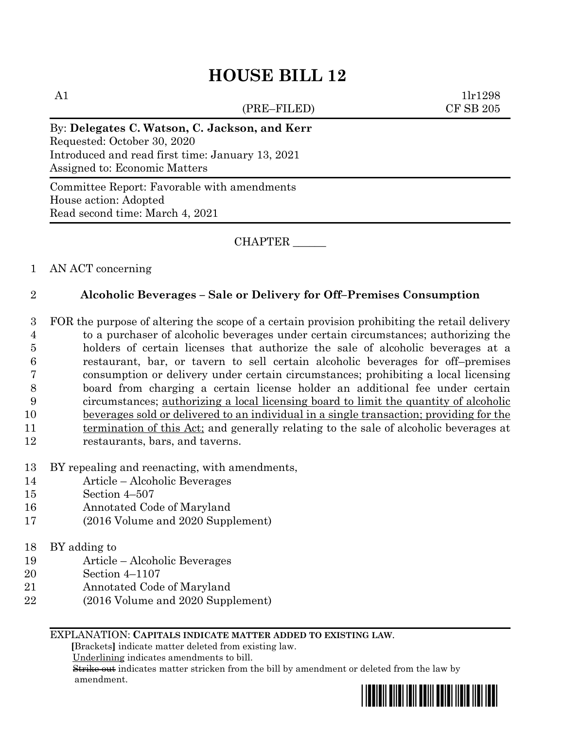# **HOUSE BILL 12**

(PRE–FILED) CF SB 205

A1  $1\text{lr1298}$ 

By: **Delegates C. Watson, C. Jackson, and Kerr** Requested: October 30, 2020 Introduced and read first time: January 13, 2021 Assigned to: Economic Matters

Committee Report: Favorable with amendments House action: Adopted Read second time: March 4, 2021

CHAPTER \_\_\_\_\_\_

## 1 AN ACT concerning

# 2 **Alcoholic Beverages – Sale or Delivery for Off–Premises Consumption**

 FOR the purpose of altering the scope of a certain provision prohibiting the retail delivery to a purchaser of alcoholic beverages under certain circumstances; authorizing the holders of certain licenses that authorize the sale of alcoholic beverages at a restaurant, bar, or tavern to sell certain alcoholic beverages for off–premises consumption or delivery under certain circumstances; prohibiting a local licensing board from charging a certain license holder an additional fee under certain circumstances; authorizing a local licensing board to limit the quantity of alcoholic beverages sold or delivered to an individual in a single transaction; providing for the 11 termination of this Act; and generally relating to the sale of alcoholic beverages at restaurants, bars, and taverns.

- 13 BY repealing and reenacting, with amendments,
- 14 Article Alcoholic Beverages
- 15 Section 4–507
- 16 Annotated Code of Maryland
- 17 (2016 Volume and 2020 Supplement)
- 18 BY adding to
- 19 Article Alcoholic Beverages
- 20 Section 4–1107
- 21 Annotated Code of Maryland
- 22 (2016 Volume and 2020 Supplement)

### EXPLANATION: **CAPITALS INDICATE MATTER ADDED TO EXISTING LAW**.

 **[**Brackets**]** indicate matter deleted from existing law.

Underlining indicates amendments to bill.

 Strike out indicates matter stricken from the bill by amendment or deleted from the law by amendment.

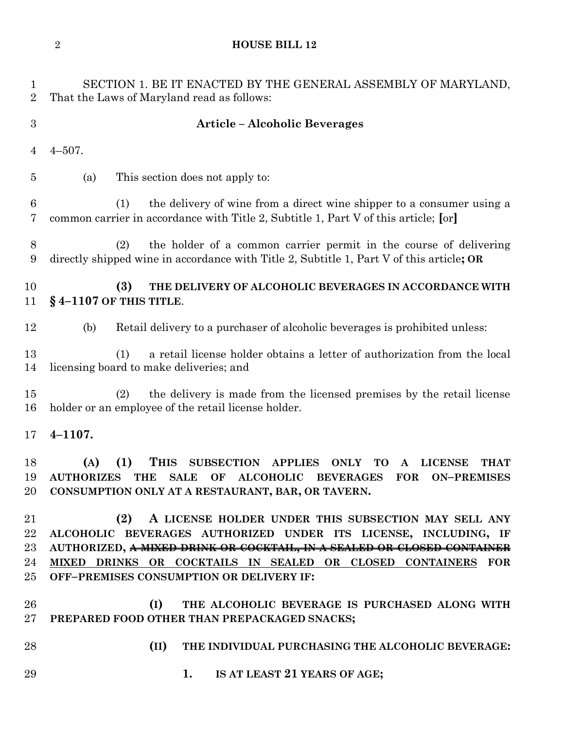**HOUSE BILL 12**

| 1<br>$\overline{2}$            | SECTION 1. BE IT ENACTED BY THE GENERAL ASSEMBLY OF MARYLAND,<br>That the Laws of Maryland read as follows:                                                                                                                                                                                                                |
|--------------------------------|----------------------------------------------------------------------------------------------------------------------------------------------------------------------------------------------------------------------------------------------------------------------------------------------------------------------------|
| 3                              | <b>Article - Alcoholic Beverages</b>                                                                                                                                                                                                                                                                                       |
| $\overline{4}$                 | $4 - 507$ .                                                                                                                                                                                                                                                                                                                |
| $\overline{5}$                 | This section does not apply to:<br>(a)                                                                                                                                                                                                                                                                                     |
| $6\phantom{.}6$<br>7           | the delivery of wine from a direct wine shipper to a consumer using a<br>(1)<br>common carrier in accordance with Title 2, Subtitle 1, Part V of this article; [or]                                                                                                                                                        |
| $8\,$<br>9                     | the holder of a common carrier permit in the course of delivering<br>(2)<br>directly shipped wine in accordance with Title 2, Subtitle 1, Part V of this article; OR                                                                                                                                                       |
| 10<br>11                       | (3)<br>THE DELIVERY OF ALCOHOLIC BEVERAGES IN ACCORDANCE WITH<br>$§$ 4-1107 OF THIS TITLE.                                                                                                                                                                                                                                 |
| 12                             | Retail delivery to a purchaser of alcoholic beverages is prohibited unless:<br>(b)                                                                                                                                                                                                                                         |
| 13<br>14                       | a retail license holder obtains a letter of authorization from the local<br>(1)<br>licensing board to make deliveries; and                                                                                                                                                                                                 |
| 15<br>16                       | the delivery is made from the licensed premises by the retail license<br>(2)<br>holder or an employee of the retail license holder.                                                                                                                                                                                        |
| 17                             | $4 - 1107.$                                                                                                                                                                                                                                                                                                                |
| 18<br>19<br>20                 | (A)<br>(1)<br><b>THIS</b><br><b>SUBSECTION APPLIES</b><br><b>ONLY</b><br>TO<br><b>LICENSE</b><br><b>THAT</b><br>$\mathbf{A}$<br><b>SALE</b><br><b>ALCOHOLIC</b><br><b>AUTHORIZES</b><br><b>THE</b><br>OF<br><b>BEVERAGES</b><br><b>FOR</b><br><b>ON-PREMISES</b><br>CONSUMPTION ONLY AT A RESTAURANT, BAR, OR TAVERN.      |
| 21<br>22<br>23<br>24<br>$25\,$ | A LICENSE HOLDER UNDER THIS SUBSECTION MAY SELL ANY<br>(2)<br>ALCOHOLIC BEVERAGES AUTHORIZED UNDER ITS LICENSE, INCLUDING, IF<br>AUTHORIZED, A MIXED DRINK OR COCKTAIL, IN A SEALED OR CLOSED CONTAINER<br>MIXED DRINKS OR COCKTAILS IN SEALED OR CLOSED CONTAINERS FOR<br><b>OFF-PREMISES CONSUMPTION OR DELIVERY IF:</b> |
| 26<br>$27\,$                   | (I)<br>THE ALCOHOLIC BEVERAGE IS PURCHASED ALONG WITH<br>PREPARED FOOD OTHER THAN PREPACKAGED SNACKS;                                                                                                                                                                                                                      |
| 28                             | (II)<br>THE INDIVIDUAL PURCHASING THE ALCOHOLIC BEVERAGE:                                                                                                                                                                                                                                                                  |
| 29                             | IS AT LEAST 21 YEARS OF AGE;<br>1.                                                                                                                                                                                                                                                                                         |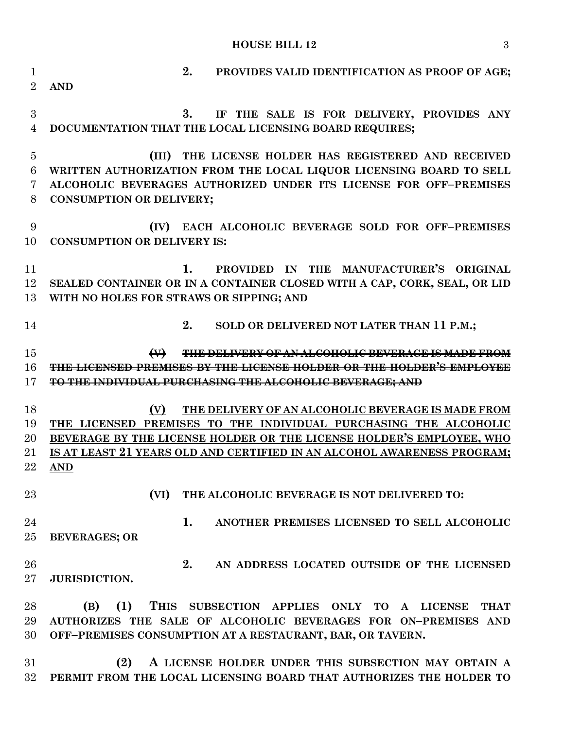# **HOUSE BILL 12** 3

| $\overline{2}$<br><b>AND</b><br>$\boldsymbol{3}$<br>3.<br>DOCUMENTATION THAT THE LOCAL LICENSING BOARD REQUIRES;<br>$\overline{4}$<br>THE LICENSE HOLDER HAS REGISTERED AND RECEIVED<br>$\overline{5}$<br>(III)<br>6<br>WRITTEN AUTHORIZATION FROM THE LOCAL LIQUOR LICENSING BOARD TO SELL<br>ALCOHOLIC BEVERAGES AUTHORIZED UNDER ITS LICENSE FOR OFF-PREMISES<br>7 | IF THE SALE IS FOR DELIVERY, PROVIDES ANY                           |
|-----------------------------------------------------------------------------------------------------------------------------------------------------------------------------------------------------------------------------------------------------------------------------------------------------------------------------------------------------------------------|---------------------------------------------------------------------|
|                                                                                                                                                                                                                                                                                                                                                                       |                                                                     |
|                                                                                                                                                                                                                                                                                                                                                                       |                                                                     |
|                                                                                                                                                                                                                                                                                                                                                                       |                                                                     |
|                                                                                                                                                                                                                                                                                                                                                                       |                                                                     |
|                                                                                                                                                                                                                                                                                                                                                                       |                                                                     |
|                                                                                                                                                                                                                                                                                                                                                                       |                                                                     |
|                                                                                                                                                                                                                                                                                                                                                                       |                                                                     |
| 8<br><b>CONSUMPTION OR DELIVERY;</b>                                                                                                                                                                                                                                                                                                                                  |                                                                     |
| 9<br>EACH ALCOHOLIC BEVERAGE SOLD FOR OFF-PREMISES<br>(IV)                                                                                                                                                                                                                                                                                                            |                                                                     |
| <b>CONSUMPTION OR DELIVERY IS:</b><br>10                                                                                                                                                                                                                                                                                                                              |                                                                     |
|                                                                                                                                                                                                                                                                                                                                                                       |                                                                     |
| 11<br>1.                                                                                                                                                                                                                                                                                                                                                              | PROVIDED IN THE MANUFACTURER'S ORIGINAL                             |
| 12<br>SEALED CONTAINER OR IN A CONTAINER CLOSED WITH A CAP, CORK, SEAL, OR LID                                                                                                                                                                                                                                                                                        |                                                                     |
| WITH NO HOLES FOR STRAWS OR SIPPING; AND<br>13                                                                                                                                                                                                                                                                                                                        |                                                                     |
| 2.                                                                                                                                                                                                                                                                                                                                                                    |                                                                     |
| SOLD OR DELIVERED NOT LATER THAN 11 P.M.;<br>14                                                                                                                                                                                                                                                                                                                       |                                                                     |
| 15<br><b>THE DELIVERY OF AN ALCOHOLIC BEVERAGE IS MA</b>                                                                                                                                                                                                                                                                                                              |                                                                     |
| THE LICENSED PREMISES BY THE LICENSE HOLDER OR THE HOLDER'S EMPLOYEE<br>16                                                                                                                                                                                                                                                                                            |                                                                     |
| 17<br>TO THE INDIVIDUAL PURCHASING THE ALCOHOLIC BEVERAGE; AND                                                                                                                                                                                                                                                                                                        |                                                                     |
| 18<br>THE DELIVERY OF AN ALCOHOLIC BEVERAGE IS MADE FROM<br>(V)                                                                                                                                                                                                                                                                                                       |                                                                     |
| 19<br>THE LICENSED PREMISES TO THE INDIVIDUAL PURCHASING THE ALCOHOLIC                                                                                                                                                                                                                                                                                                |                                                                     |
| BEVERAGE BY THE LICENSE HOLDER OR THE LICENSE HOLDER'S EMPLOYEE, WHO<br>20                                                                                                                                                                                                                                                                                            |                                                                     |
| IS AT LEAST 21 YEARS OLD AND CERTIFIED IN AN ALCOHOL AWARENESS PROGRAM;<br>21                                                                                                                                                                                                                                                                                         |                                                                     |
| 22<br><b>AND</b>                                                                                                                                                                                                                                                                                                                                                      |                                                                     |
|                                                                                                                                                                                                                                                                                                                                                                       |                                                                     |
| 23<br>(VI)<br>THE ALCOHOLIC BEVERAGE IS NOT DELIVERED TO:                                                                                                                                                                                                                                                                                                             |                                                                     |
| 24<br>1.                                                                                                                                                                                                                                                                                                                                                              | ANOTHER PREMISES LICENSED TO SELL ALCOHOLIC                         |
| 25<br><b>BEVERAGES; OR</b>                                                                                                                                                                                                                                                                                                                                            |                                                                     |
|                                                                                                                                                                                                                                                                                                                                                                       |                                                                     |
| 2.<br>26                                                                                                                                                                                                                                                                                                                                                              | AN ADDRESS LOCATED OUTSIDE OF THE LICENSED                          |
| $27\,$<br><b>JURISDICTION.</b>                                                                                                                                                                                                                                                                                                                                        |                                                                     |
|                                                                                                                                                                                                                                                                                                                                                                       |                                                                     |
| (1)<br>THIS SUBSECTION APPLIES ONLY TO<br>28<br>(B)                                                                                                                                                                                                                                                                                                                   | A LICENSE<br><b>THAT</b>                                            |
| AUTHORIZES THE SALE OF ALCOHOLIC BEVERAGES FOR ON-PREMISES AND<br>29                                                                                                                                                                                                                                                                                                  |                                                                     |
| 30<br>OFF-PREMISES CONSUMPTION AT A RESTAURANT, BAR, OR TAVERN.                                                                                                                                                                                                                                                                                                       |                                                                     |
| 31<br>(2)<br>A LICENSE HOLDER UNDER THIS SUBSECTION MAY OBTAIN A                                                                                                                                                                                                                                                                                                      |                                                                     |
|                                                                                                                                                                                                                                                                                                                                                                       | PERMIT FROM THE LOCAL LICENSING BOARD THAT AUTHORIZES THE HOLDER TO |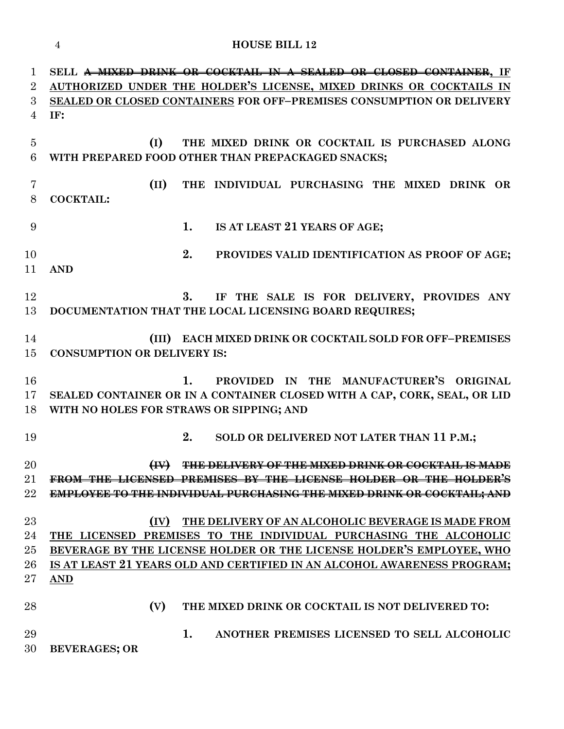|                               | <b>HOUSE BILL 12</b><br>$\overline{4}$                                                                                                                                                                                                                                                          |
|-------------------------------|-------------------------------------------------------------------------------------------------------------------------------------------------------------------------------------------------------------------------------------------------------------------------------------------------|
| 1<br>$\overline{2}$<br>3<br>4 | SELL <del>A MIXED DRINK OR COCKTAIL IN A SEALED OR CLOSED CONTAINER</del> , IF<br>AUTHORIZED UNDER THE HOLDER'S LICENSE, MIXED DRINKS OR COCKTAILS IN<br>SEALED OR CLOSED CONTAINERS FOR OFF-PREMISES CONSUMPTION OR DELIVERY<br>IF:                                                            |
| $\overline{5}$<br>6           | (I)<br>THE MIXED DRINK OR COCKTAIL IS PURCHASED ALONG<br>WITH PREPARED FOOD OTHER THAN PREPACKAGED SNACKS;                                                                                                                                                                                      |
| 7<br>8                        | (II)<br>THE INDIVIDUAL PURCHASING THE MIXED DRINK OR<br><b>COCKTAIL:</b>                                                                                                                                                                                                                        |
| 9                             | 1.<br>IS AT LEAST 21 YEARS OF AGE;                                                                                                                                                                                                                                                              |
| 10<br>11                      | 2.<br>PROVIDES VALID IDENTIFICATION AS PROOF OF AGE;<br><b>AND</b>                                                                                                                                                                                                                              |
| 12<br>13                      | 3.<br>IF THE SALE IS FOR DELIVERY, PROVIDES ANY<br>DOCUMENTATION THAT THE LOCAL LICENSING BOARD REQUIRES;                                                                                                                                                                                       |
| 14<br>15                      | <b>EACH MIXED DRINK OR COCKTAIL SOLD FOR OFF-PREMISES</b><br>(III)<br><b>CONSUMPTION OR DELIVERY IS:</b>                                                                                                                                                                                        |
| 16<br>17<br>18                | PROVIDED IN THE MANUFACTURER'S ORIGINAL<br>1.<br>SEALED CONTAINER OR IN A CONTAINER CLOSED WITH A CAP, CORK, SEAL, OR LID<br>WITH NO HOLES FOR STRAWS OR SIPPING; AND                                                                                                                           |
| 19                            | SOLD OR DELIVERED NOT LATER THAN 11 P.M.;<br>2.                                                                                                                                                                                                                                                 |
| 20<br>21<br>22                | THE DELIVERY OF THE MIXED DRINK OR COCKTAIL IS MADE<br><b>LICENSE HOLDER OR THE HOLDER'S</b><br><b>FROM THE LICENSED</b><br><b>EMPLOYEE TO THE INDIVIDUAL PURCHASING THE MIXED DRINK OR COCKTAIL; AND</b>                                                                                       |
| 23<br>24<br>25<br>26<br>27    | (IV)<br>THE DELIVERY OF AN ALCOHOLIC BEVERAGE IS MADE FROM<br>THE LICENSED PREMISES TO THE INDIVIDUAL PURCHASING THE ALCOHOLIC<br>BEVERAGE BY THE LICENSE HOLDER OR THE LICENSE HOLDER'S EMPLOYEE, WHO<br>IS AT LEAST 21 YEARS OLD AND CERTIFIED IN AN ALCOHOL AWARENESS PROGRAM;<br><b>AND</b> |
| 28                            | (V)<br>THE MIXED DRINK OR COCKTAIL IS NOT DELIVERED TO:                                                                                                                                                                                                                                         |
| 29<br>30                      | 1.<br>ANOTHER PREMISES LICENSED TO SELL ALCOHOLIC<br><b>BEVERAGES; OR</b>                                                                                                                                                                                                                       |